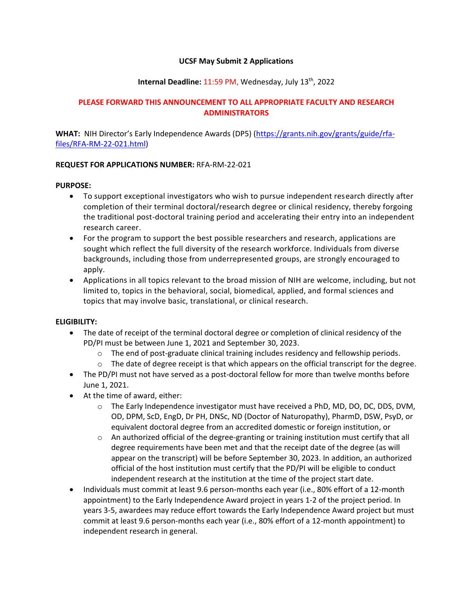## **UCSF May Submit 2 Applications**

# **Internal Deadline: 11:59 PM, Wednesday, July 13<sup>th</sup>, 2022**

# **PLEASE FORWARD THIS ANNOUNCEMENT TO ALL APPROPRIATE FACULTY AND RESEARCH ADMINISTRATORS**

**WHAT:** NIH Director's Early Independence Awards (DP5) ([https://grants.nih.gov/grants/guide/rfa](https://grants.nih.gov/grants/guide/rfa-files/RFA-RM-22-021.html)[files/RFA-RM-22-021.html\)](https://grants.nih.gov/grants/guide/rfa-files/RFA-RM-22-021.html)

### **REQUEST FOR APPLICATIONS NUMBER:** RFA-RM-22-021

### **PURPOSE:**

- To support exceptional investigators who wish to pursue independent research directly after completion of their terminal doctoral/research degree or clinical residency, thereby forgoing the traditional post-doctoral training period and accelerating their entry into an independent research career.
- For the program to support the best possible researchers and research, applications are sought which reflect the full diversity of the research workforce. Individuals from diverse backgrounds, including those from underrepresented groups, are strongly encouraged to apply.
- Applications in all topics relevant to the broad mission of NIH are welcome, including, but not limited to, topics in the behavioral, social, biomedical, applied, and formal sciences and topics that may involve basic, translational, or clinical research.

#### **ELIGIBILITY:**

- The date of receipt of the terminal doctoral degree or completion of clinical residency of the PD/PI must be between June 1, 2021 and September 30, 2023.
	- $\circ$  The end of post-graduate clinical training includes residency and fellowship periods.
	- $\circ$  The date of degree receipt is that which appears on the official transcript for the degree.
- The PD/PI must not have served as a post-doctoral fellow for more than twelve months before June 1, 2021.
- At the time of award, either:
	- o The Early Independence investigator must have received a PhD, MD, DO, DC, DDS, DVM, OD, DPM, ScD, EngD, Dr PH, DNSc, ND (Doctor of Naturopathy), PharmD, DSW, PsyD, or equivalent doctoral degree from an accredited domestic or foreign institution, or
	- $\circ$  An authorized official of the degree-granting or training institution must certify that all degree requirements have been met and that the receipt date of the degree (as will appear on the transcript) will be before September 30, 2023. In addition, an authorized official of the host institution must certify that the PD/PI will be eligible to conduct independent research at the institution at the time of the project start date.
- Individuals must commit at least 9.6 person-months each year (i.e., 80% effort of a 12-month appointment) to the Early Independence Award project in years 1-2 of the project period. In years 3-5, awardees may reduce effort towards the Early Independence Award project but must commit at least 9.6 person-months each year (i.e., 80% effort of a 12-month appointment) to independent research in general.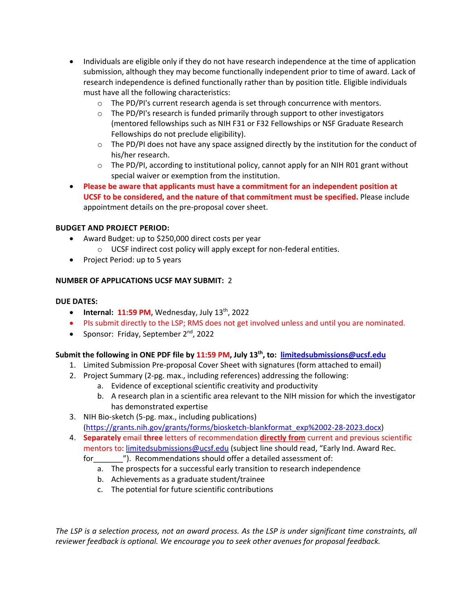- Individuals are eligible only if they do not have research independence at the time of application submission, although they may become functionally independent prior to time of award. Lack of research independence is defined functionally rather than by position title. Eligible individuals must have all the following characteristics:
	- $\circ$  The PD/PI's current research agenda is set through concurrence with mentors.
	- o The PD/PI's research is funded primarily through support to other investigators (mentored fellowships such as NIH F31 or F32 Fellowships or NSF Graduate Research Fellowships do not preclude eligibility).
	- $\circ$  The PD/PI does not have any space assigned directly by the institution for the conduct of his/her research.
	- $\circ$  The PD/PI, according to institutional policy, cannot apply for an NIH R01 grant without special waiver or exemption from the institution.
- **Please be aware that applicants must have a commitment for an independent position at UCSF to be considered, and the nature of that commitment must be specified.** Please include appointment details on the pre-proposal cover sheet.

# **BUDGET AND PROJECT PERIOD:**

- Award Budget: up to \$250,000 direct costs per year
	- $\circ$  UCSF indirect cost policy will apply except for non-federal entities.
- Project Period: up to 5 years

# **NUMBER OF APPLICATIONS UCSF MAY SUBMIT:** 2

## **DUE DATES:**

- **•** Internal:  $11:59 \text{ PM}$ , Wednesday, July  $13^{\text{th}}$ , 2022
- PIs submit directly to the LSP; RMS does not get involved unless and until you are nominated.
- Sponsor: Friday, September 2<sup>nd</sup>, 2022

# **Submit the following in ONE PDF file by 11:59 PM, July 13 th , to: [limitedsubmissions@ucsf.edu](mailto:limitedsubmissions@ucsf.edu)**

- 1. Limited Submission Pre-proposal Cover Sheet with signatures (form attached to email)
- 2. Project Summary (2-pg. max., including references) addressing the following:
	- a. Evidence of exceptional scientific creativity and productivity
	- b. A research plan in a scientific area relevant to the NIH mission for which the investigator has demonstrated expertise
- 3. NIH Bio-sketch (5-pg. max., including publications) [\(https://grants.nih.gov/grants/forms/biosketch-blankformat\\_exp%2002-28-2023.docx\)](https://grants.nih.gov/grants/forms/biosketch-blankformat_exp%2002-28-2023.docx)
- 4. **Separately** email **three** letters of recommendation **directly from** current and previous scientific mentors to: [limitedsubmissions@ucsf.edu](file:///C:/Documents%20and%20Settings/gfisher/Desktop/limitedsubmissions@ucsf.edu) (subject line should read, "Early Ind. Award Rec.
	- for  $\qquad$  "). Recommendations should offer a detailed assessment of:
		- a. The prospects for a successful early transition to research independence
		- b. Achievements as a graduate student/trainee
		- c. The potential for future scientific contributions

*The LSP is a selection process, not an award process. As the LSP is under significant time constraints, all reviewer feedback is optional. We encourage you to seek other avenues for proposal feedback.*